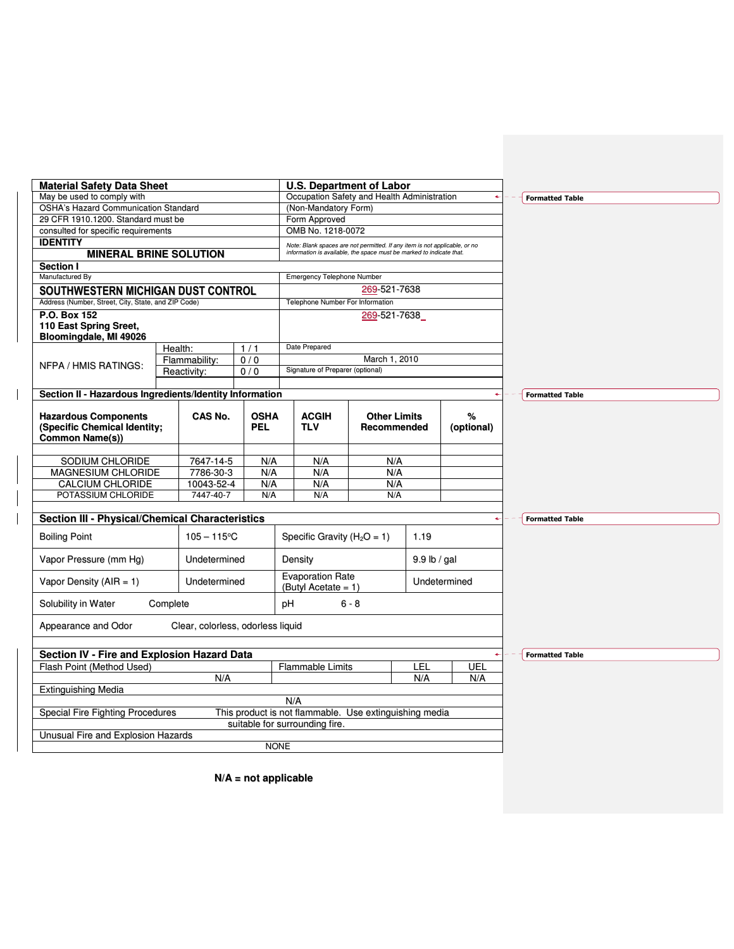| <b>Material Safety Data Sheet</b>                                                     |                                   |                    | <b>U.S. Department of Labor</b>                                            |                                    |                |                 |                        |
|---------------------------------------------------------------------------------------|-----------------------------------|--------------------|----------------------------------------------------------------------------|------------------------------------|----------------|-----------------|------------------------|
| May be used to comply with                                                            |                                   |                    | Occupation Safety and Health Administration                                |                                    |                |                 | <b>Formatted Table</b> |
| <b>OSHA's Hazard Communication Standard</b>                                           |                                   |                    | (Non-Mandatory Form)                                                       |                                    |                |                 |                        |
| 29 CFR 1910.1200. Standard must be                                                    |                                   |                    | Form Approved                                                              |                                    |                |                 |                        |
| consulted for specific requirements                                                   |                                   |                    | OMB No. 1218-0072                                                          |                                    |                |                 |                        |
| <b>IDENTITY</b>                                                                       |                                   |                    | Note: Blank spaces are not permitted. If any item is not applicable, or no |                                    |                |                 |                        |
| <b>MINERAL BRINE SOLUTION</b>                                                         |                                   |                    | information is available, the space must be marked to indicate that.       |                                    |                |                 |                        |
| <b>Section I</b>                                                                      |                                   |                    |                                                                            |                                    |                |                 |                        |
| Manufactured By                                                                       |                                   |                    | <b>Emergency Telephone Number</b>                                          |                                    |                |                 |                        |
| SOUTHWESTERN MICHIGAN DUST CONTROL                                                    |                                   |                    |                                                                            | 269-521-7638                       |                |                 |                        |
| Address (Number, Street, City, State, and ZIP Code)                                   |                                   |                    | Telephone Number For Information                                           |                                    |                |                 |                        |
| P.O. Box 152                                                                          |                                   |                    |                                                                            | 269-521-7638                       |                |                 |                        |
| 110 East Spring Sreet,                                                                |                                   |                    |                                                                            |                                    |                |                 |                        |
| Bloomingdale, MI 49026                                                                |                                   |                    | Date Prepared                                                              |                                    |                |                 |                        |
|                                                                                       | Health:                           | 1/1                |                                                                            |                                    |                |                 |                        |
| NFPA / HMIS RATINGS:                                                                  | Flammability:                     | 0/0                |                                                                            | March 1, 2010                      |                |                 |                        |
|                                                                                       | Reactivity:                       | 0/0                | Signature of Preparer (optional)                                           |                                    |                |                 |                        |
|                                                                                       |                                   |                    |                                                                            |                                    |                |                 |                        |
| Section II - Hazardous Ingredients/Identity Information                               |                                   |                    |                                                                            |                                    |                |                 | <b>Formatted Table</b> |
| <b>Hazardous Components</b><br>(Specific Chemical Identity;<br><b>Common Name(s))</b> | CAS No.                           | <b>OSHA</b><br>PEL | <b>ACGIH</b><br><b>TLV</b>                                                 | <b>Other Limits</b><br>Recommended |                | %<br>(optional) |                        |
|                                                                                       |                                   |                    |                                                                            |                                    |                |                 |                        |
| SODIUM CHLORIDE                                                                       | 7647-14-5                         | N/A                | N/A                                                                        | N/A                                |                |                 |                        |
| <b>MAGNESIUM CHLORIDE</b>                                                             | 7786-30-3                         | N/A                | N/A                                                                        | N/A                                |                |                 |                        |
| <b>CALCIUM CHLORIDE</b>                                                               | 10043-52-4                        | N/A                | N/A                                                                        | N/A                                |                |                 |                        |
| POTASSIUM CHLORIDE                                                                    | 7447-40-7                         | N/A                | N/A                                                                        | N/A                                |                |                 |                        |
| Section III - Physical/Chemical Characteristics                                       |                                   |                    |                                                                            |                                    |                | $\leftarrow$    | <b>Formatted Table</b> |
|                                                                                       |                                   |                    |                                                                            |                                    |                |                 |                        |
| <b>Boiling Point</b>                                                                  | $105 - 115$ °C                    |                    | Specific Gravity ( $H_2O = 1$ )                                            |                                    | 1.19           |                 |                        |
| Vapor Pressure (mm Hg)                                                                | Undetermined                      |                    | Density                                                                    |                                    | $9.9$ lb / gal |                 |                        |
| Vapor Density ( $AIR = 1$ )                                                           | Undetermined                      |                    | <b>Evaporation Rate</b><br>(Butyl Acetate = $1$ )                          |                                    |                | Undetermined    |                        |
| Solubility in Water                                                                   | Complete                          |                    | pН                                                                         | $6 - 8$                            |                |                 |                        |
| Appearance and Odor                                                                   | Clear, colorless, odorless liquid |                    |                                                                            |                                    |                |                 |                        |
| <b>Section IV - Fire and Explosion Hazard Data</b>                                    |                                   |                    |                                                                            |                                    |                |                 | <b>Formatted Table</b> |
| Flash Point (Method Used)                                                             |                                   |                    | <b>Flammable Limits</b>                                                    |                                    | LEL            | UEL             |                        |
|                                                                                       | N/A                               |                    |                                                                            |                                    | N/A            | N/A             |                        |
| <b>Extinguishing Media</b>                                                            |                                   |                    |                                                                            |                                    |                |                 |                        |
|                                                                                       |                                   |                    | N/A                                                                        |                                    |                |                 |                        |
|                                                                                       |                                   |                    | This product is not flammable. Use extinguishing media                     |                                    |                |                 |                        |
| Special Fire Fighting Procedures                                                      |                                   |                    |                                                                            |                                    |                |                 |                        |
| Unusual Fire and Explosion Hazards                                                    |                                   |                    | suitable for surrounding fire.                                             |                                    |                |                 |                        |

**N/A = not applicable**

 $\mathsf I$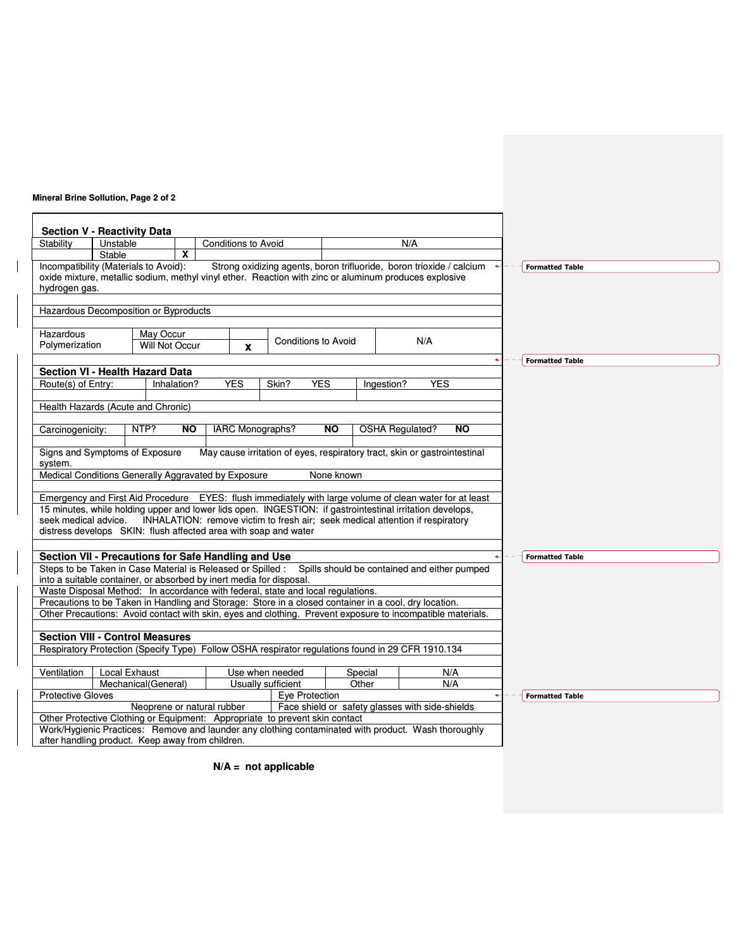## **Mineral Brine Sollution, Page 2 of 2**

 $\overline{\phantom{a}}$ 

|                                         | Unstable      |                                                                                                                                                                                                                     |           | <b>Conditions to Avoid</b> |                                       |                            | N/A                                                                           |            |            |   |                        |  |  |
|-----------------------------------------|---------------|---------------------------------------------------------------------------------------------------------------------------------------------------------------------------------------------------------------------|-----------|----------------------------|---------------------------------------|----------------------------|-------------------------------------------------------------------------------|------------|------------|---|------------------------|--|--|
|                                         | <b>Stable</b> | X                                                                                                                                                                                                                   |           |                            |                                       |                            |                                                                               |            |            |   |                        |  |  |
|                                         |               | Incompatibility (Materials to Avoid):                                                                                                                                                                               |           |                            |                                       |                            | Strong oxidizing agents, boron trifluoride, boron trioxide / calcium          |            |            |   | <b>Formatted Table</b> |  |  |
|                                         |               | oxide mixture, metallic sodium, methyl vinyl ether. Reaction with zinc or aluminum produces explosive                                                                                                               |           |                            |                                       |                            |                                                                               |            |            |   |                        |  |  |
| hydrogen gas.                           |               |                                                                                                                                                                                                                     |           |                            |                                       |                            |                                                                               |            |            |   |                        |  |  |
|                                         |               | Hazardous Decomposition or Byproducts                                                                                                                                                                               |           |                            |                                       |                            |                                                                               |            |            |   |                        |  |  |
| Hazardous                               |               | May Occur                                                                                                                                                                                                           |           |                            |                                       |                            |                                                                               |            |            |   |                        |  |  |
| Polymerization                          |               | <b>Will Not Occur</b>                                                                                                                                                                                               |           | X                          |                                       | <b>Conditions to Avoid</b> |                                                                               | N/A        |            |   |                        |  |  |
|                                         |               |                                                                                                                                                                                                                     |           |                            |                                       |                            |                                                                               |            |            | ٠ | <b>Formatted Table</b> |  |  |
|                                         |               | <b>Section VI - Health Hazard Data</b>                                                                                                                                                                              |           |                            |                                       |                            |                                                                               |            |            |   |                        |  |  |
| Route(s) of Entry:                      |               | Inhalation?                                                                                                                                                                                                         |           | <b>YES</b>                 | Skin?                                 | <b>YES</b>                 | Ingestion?                                                                    | <b>YES</b> |            |   |                        |  |  |
|                                         |               | Health Hazards (Acute and Chronic)                                                                                                                                                                                  |           |                            |                                       |                            |                                                                               |            |            |   |                        |  |  |
|                                         |               |                                                                                                                                                                                                                     |           |                            |                                       |                            |                                                                               |            |            |   |                        |  |  |
| Carcinogenicity:                        |               | NTP?                                                                                                                                                                                                                | <b>NO</b> | IARC Monographs?           |                                       | <b>NO</b>                  | <b>OSHA Regulated?</b>                                                        |            | <b>NO</b>  |   |                        |  |  |
|                                         |               |                                                                                                                                                                                                                     |           |                            |                                       |                            |                                                                               |            |            |   |                        |  |  |
|                                         |               |                                                                                                                                                                                                                     |           |                            |                                       |                            |                                                                               |            |            |   |                        |  |  |
|                                         |               | Signs and Symptoms of Exposure                                                                                                                                                                                      |           |                            |                                       |                            | May cause irritation of eyes, respiratory tract, skin or gastrointestinal     |            |            |   |                        |  |  |
|                                         |               |                                                                                                                                                                                                                     |           |                            |                                       |                            |                                                                               |            |            |   |                        |  |  |
|                                         |               | Medical Conditions Generally Aggravated by Exposure                                                                                                                                                                 |           |                            |                                       | None known                 |                                                                               |            |            |   |                        |  |  |
| system.                                 |               |                                                                                                                                                                                                                     |           |                            |                                       |                            |                                                                               |            |            |   |                        |  |  |
|                                         |               | Emergency and First Aid Procedure EYES: flush immediately with large volume of clean water for at least<br>15 minutes, while holding upper and lower lids open. INGESTION: if gastrointestinal irritation develops, |           |                            |                                       |                            |                                                                               |            |            |   |                        |  |  |
| seek medical advice.                    |               |                                                                                                                                                                                                                     |           |                            |                                       |                            | INHALATION: remove victim to fresh air; seek medical attention if respiratory |            |            |   |                        |  |  |
|                                         |               | distress develops SKIN: flush affected area with soap and water                                                                                                                                                     |           |                            |                                       |                            |                                                                               |            |            |   |                        |  |  |
|                                         |               |                                                                                                                                                                                                                     |           |                            |                                       |                            |                                                                               |            |            |   |                        |  |  |
|                                         |               | Section VII - Precautions for Safe Handling and Use                                                                                                                                                                 |           |                            |                                       |                            |                                                                               |            |            |   | <b>Formatted Table</b> |  |  |
|                                         |               | Steps to be Taken in Case Material is Released or Spilled : Spills should be contained and either pumped                                                                                                            |           |                            |                                       |                            |                                                                               |            |            |   |                        |  |  |
|                                         |               | into a suitable container, or absorbed by inert media for disposal.                                                                                                                                                 |           |                            |                                       |                            |                                                                               |            |            |   |                        |  |  |
|                                         |               | Waste Disposal Method: In accordance with federal, state and local regulations.                                                                                                                                     |           |                            |                                       |                            |                                                                               |            |            |   |                        |  |  |
|                                         |               | Precautions to be Taken in Handling and Storage: Store in a closed container in a cool, dry location.<br>Other Precautions: Avoid contact with skin, eyes and clothing. Prevent exposure to incompatible materials. |           |                            |                                       |                            |                                                                               |            |            |   |                        |  |  |
|                                         |               |                                                                                                                                                                                                                     |           |                            |                                       |                            |                                                                               |            |            |   |                        |  |  |
|                                         |               | <b>Section VIII - Control Measures</b>                                                                                                                                                                              |           |                            |                                       |                            |                                                                               |            |            |   |                        |  |  |
|                                         |               | Respiratory Protection (Specify Type) Follow OSHA respirator regulations found in 29 CFR 1910.134                                                                                                                   |           |                            |                                       |                            |                                                                               |            |            |   |                        |  |  |
|                                         |               |                                                                                                                                                                                                                     |           |                            |                                       |                            |                                                                               |            |            |   |                        |  |  |
|                                         |               | <b>Local Exhaust</b><br>Mechanical(General)                                                                                                                                                                         |           |                            | Use when needed<br>Usually sufficient |                            | Special<br>Other                                                              |            | N/A<br>N/A |   |                        |  |  |
|                                         |               |                                                                                                                                                                                                                     |           |                            | Eye Protection                        |                            |                                                                               |            |            |   | <b>Formatted Table</b> |  |  |
|                                         |               | Neoprene or natural rubber                                                                                                                                                                                          |           |                            |                                       |                            | Face shield or safety glasses with side-shields                               |            |            |   |                        |  |  |
| Ventilation<br><b>Protective Gloves</b> |               | Other Protective Clothing or Equipment: Appropriate to prevent skin contact<br>Work/Hygienic Practices: Remove and launder any clothing contaminated with product. Wash thoroughly                                  |           |                            |                                       |                            |                                                                               |            |            |   |                        |  |  |

**N/A = not applicable**